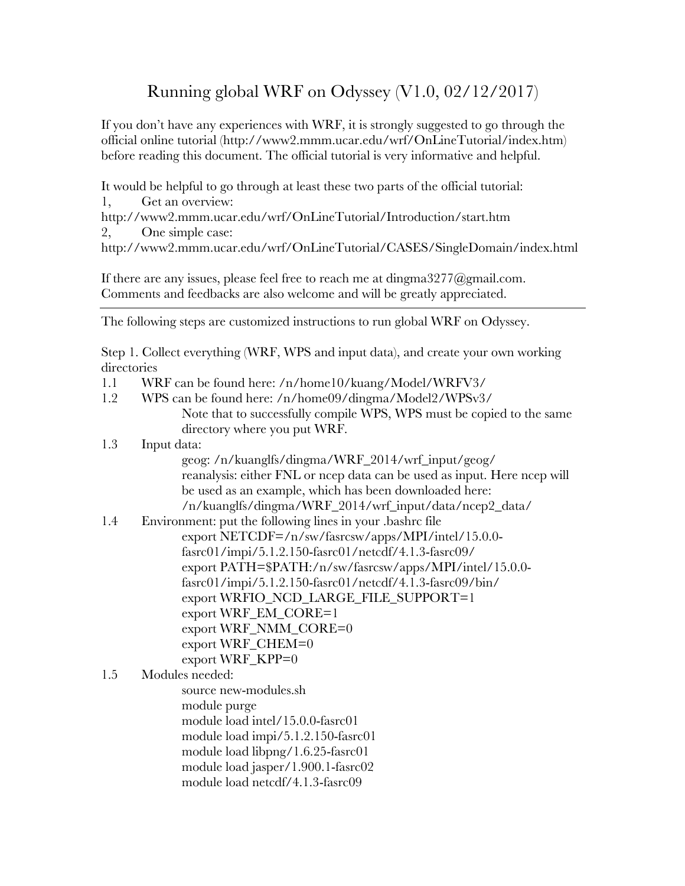## Running global WRF on Odyssey (V1.0, 02/12/2017)

If you don't have any experiences with WRF, it is strongly suggested to go through the official online tutorial (http://www2.mmm.ucar.edu/wrf/OnLineTutorial/index.htm) before reading this document. The official tutorial is very informative and helpful.

It would be helpful to go through at least these two parts of the official tutorial: 1, Get an overview:

http://www2.mmm.ucar.edu/wrf/OnLineTutorial/Introduction/start.htm 2, One simple case:

http://www2.mmm.ucar.edu/wrf/OnLineTutorial/CASES/SingleDomain/index.html

If there are any issues, please feel free to reach me at dingma3277@gmail.com. Comments and feedbacks are also welcome and will be greatly appreciated.

The following steps are customized instructions to run global WRF on Odyssey.

Step 1. Collect everything (WRF, WPS and input data), and create your own working directories

- 1.1 WRF can be found here: /n/home10/kuang/Model/WRFV3/
- 1.2 WPS can be found here: /n/home09/dingma/Model2/WPSv3/ Note that to successfully compile WPS, WPS must be copied to the same directory where you put WRF.
- 1.3 Input data:
	- geog: /n/kuanglfs/dingma/WRF\_2014/wrf\_input/geog/ reanalysis: either FNL or ncep data can be used as input. Here ncep will be used as an example, which has been downloaded here: /n/kuanglfs/dingma/WRF\_2014/wrf\_input/data/ncep2\_data/
- 1.4 Environment: put the following lines in your .bashrc file export NETCDF=/n/sw/fasrcsw/apps/MPI/intel/15.0.0 fasrc01/impi/5.1.2.150-fasrc01/netcdf/4.1.3-fasrc09/ export PATH=\$PATH:/n/sw/fasrcsw/apps/MPI/intel/15.0.0 fasrc01/impi/5.1.2.150-fasrc01/netcdf/4.1.3-fasrc09/bin/ export WRFIO\_NCD\_LARGE\_FILE\_SUPPORT=1 export WRF\_EM\_CORE=1 export WRF\_NMM\_CORE=0 export WRF\_CHEM=0 export WRF\_KPP=0

1.5 Modules needed: source new-modules.sh module purge module load intel/15.0.0-fasrc01 module load impi/5.1.2.150-fasrc01 module load libpng/1.6.25-fasrc01 module load jasper/1.900.1-fasrc02 module load netcdf/4.1.3-fasrc09